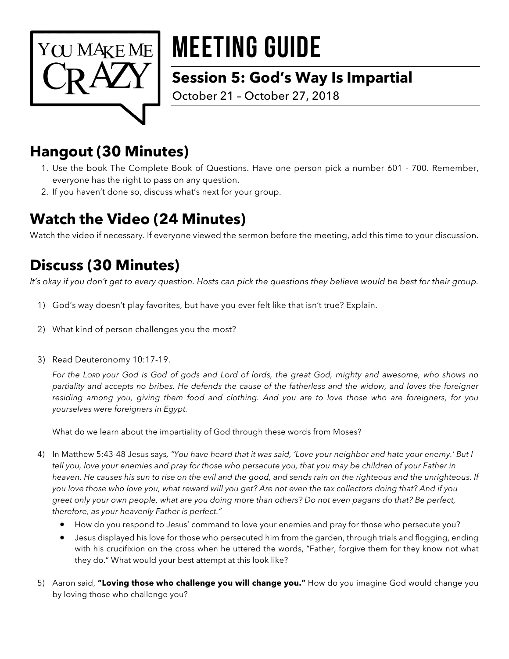

# MEETING GUIDE

### **Session 5: God's Way Is Impartial**

October 21 – October 27, 2018

# **Hangout (30 Minutes)**

- 1. Use the book The Complete Book of Questions. Have one person pick a number 601 700. Remember, everyone has the right to pass on any question.
- 2. If you haven't done so, discuss what's next for your group.

# **Watch the Video (24 Minutes)**

Watch the video if necessary. If everyone viewed the sermon before the meeting, add this time to your discussion.

## **Discuss (30 Minutes)**

*It's okay if you don't get to every question. Hosts can pick the questions they believe would be best for their group.* 

- 1) God's way doesn't play favorites, but have you ever felt like that isn't true? Explain.
- 2) What kind of person challenges you the most?
- 3) Read Deuteronomy 10:17-19.

*For the LORD your God is God of gods and Lord of lords, the great God, mighty and awesome, who shows no partiality and accepts no bribes. He defends the cause of the fatherless and the widow, and loves the foreigner residing among you, giving them food and clothing. And you are to love those who are foreigners, for you yourselves were foreigners in Egypt.*

What do we learn about the impartiality of God through these words from Moses?

- 4) In Matthew 5:43-48 Jesus says*, "You have heard that it was said, 'Love your neighbor and hate your enemy.' But I tell you, love your enemies and pray for those who persecute you, that you may be children of your Father in*  heaven. He causes his sun to rise on the evil and the good, and sends rain on the righteous and the unrighteous. If *you love those who love you, what reward will you get? Are not even the tax collectors doing that? And if you greet only your own people, what are you doing more than others? Do not even pagans do that? Be perfect, therefore, as your heavenly Father is perfect."*
	- How do you respond to Jesus' command to love your enemies and pray for those who persecute you?
	- Jesus displayed his love for those who persecuted him from the garden, through trials and flogging, ending with his crucifixion on the cross when he uttered the words, "Father, forgive them for they know not what they do." What would your best attempt at this look like?
- 5) Aaron said, **"Loving those who challenge you will change you."** How do you imagine God would change you by loving those who challenge you?